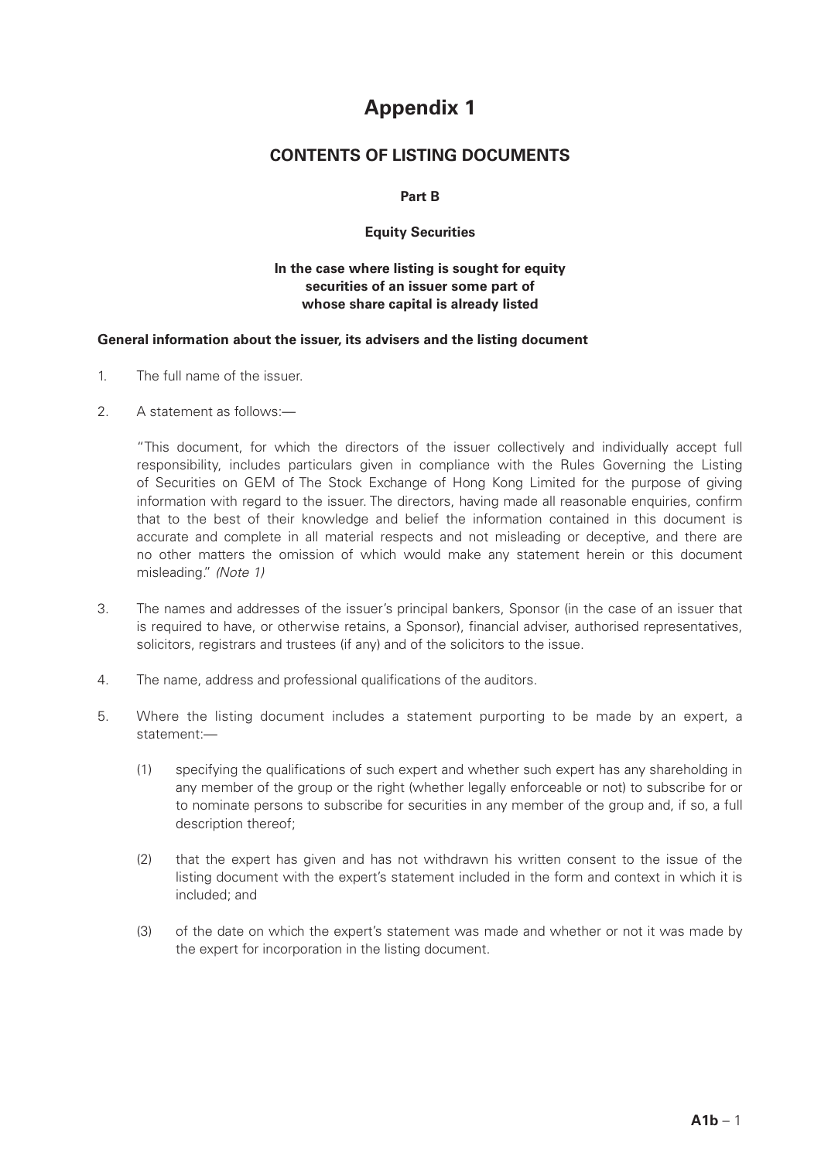# **Appendix 1**

## **CONTENTS OF LISTING DOCUMENTS**

## **Part B**

## **Equity Securities**

## **In the case where listing is sought for equity securities of an issuer some part of whose share capital is already listed**

#### **General information about the issuer, its advisers and the listing document**

- 1. The full name of the issuer.
- 2. A statement as follows:

"This document, for which the directors of the issuer collectively and individually accept full responsibility, includes particulars given in compliance with the Rules Governing the Listing of Securities on GEM of The Stock Exchange of Hong Kong Limited for the purpose of giving information with regard to the issuer. The directors, having made all reasonable enquiries, confirm that to the best of their knowledge and belief the information contained in this document is accurate and complete in all material respects and not misleading or deceptive, and there are no other matters the omission of which would make any statement herein or this document misleading." *(Note 1)*

- 3. The names and addresses of the issuer's principal bankers, Sponsor (in the case of an issuer that is required to have, or otherwise retains, a Sponsor), financial adviser, authorised representatives, solicitors, registrars and trustees (if any) and of the solicitors to the issue.
- 4. The name, address and professional qualifications of the auditors.
- 5. Where the listing document includes a statement purporting to be made by an expert, a statement:—
	- (1) specifying the qualifications of such expert and whether such expert has any shareholding in any member of the group or the right (whether legally enforceable or not) to subscribe for or to nominate persons to subscribe for securities in any member of the group and, if so, a full description thereof;
	- (2) that the expert has given and has not withdrawn his written consent to the issue of the listing document with the expert's statement included in the form and context in which it is included; and
	- (3) of the date on which the expert's statement was made and whether or not it was made by the expert for incorporation in the listing document.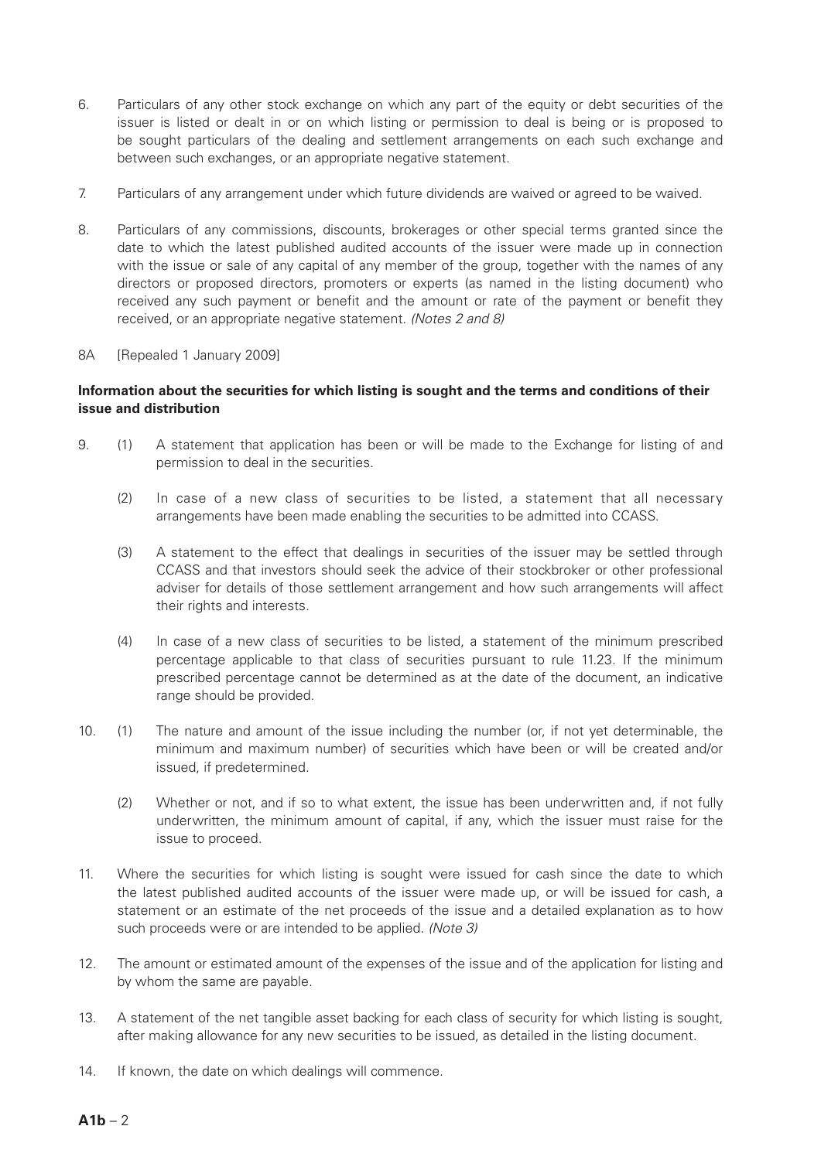- 6. Particulars of any other stock exchange on which any part of the equity or debt securities of the issuer is listed or dealt in or on which listing or permission to deal is being or is proposed to be sought particulars of the dealing and settlement arrangements on each such exchange and between such exchanges, or an appropriate negative statement.
- 7. Particulars of any arrangement under which future dividends are waived or agreed to be waived.
- 8. Particulars of any commissions, discounts, brokerages or other special terms granted since the date to which the latest published audited accounts of the issuer were made up in connection with the issue or sale of any capital of any member of the group, together with the names of any directors or proposed directors, promoters or experts (as named in the listing document) who received any such payment or benefit and the amount or rate of the payment or benefit they received, or an appropriate negative statement. *(Notes 2 and 8)*
- 8A [Repealed 1 January 2009]

## **Information about the securities for which listing is sought and the terms and conditions of their issue and distribution**

- 9. (1) A statement that application has been or will be made to the Exchange for listing of and permission to deal in the securities.
	- (2) In case of a new class of securities to be listed, a statement that all necessary arrangements have been made enabling the securities to be admitted into CCASS.
	- (3) A statement to the effect that dealings in securities of the issuer may be settled through CCASS and that investors should seek the advice of their stockbroker or other professional adviser for details of those settlement arrangement and how such arrangements will affect their rights and interests.
	- (4) In case of a new class of securities to be listed, a statement of the minimum prescribed percentage applicable to that class of securities pursuant to rule 11.23. If the minimum prescribed percentage cannot be determined as at the date of the document, an indicative range should be provided.
- 10. (1) The nature and amount of the issue including the number (or, if not yet determinable, the minimum and maximum number) of securities which have been or will be created and/or issued, if predetermined.
	- (2) Whether or not, and if so to what extent, the issue has been underwritten and, if not fully underwritten, the minimum amount of capital, if any, which the issuer must raise for the issue to proceed.
- 11. Where the securities for which listing is sought were issued for cash since the date to which the latest published audited accounts of the issuer were made up, or will be issued for cash, a statement or an estimate of the net proceeds of the issue and a detailed explanation as to how such proceeds were or are intended to be applied. *(Note 3)*
- 12. The amount or estimated amount of the expenses of the issue and of the application for listing and by whom the same are payable.
- 13. A statement of the net tangible asset backing for each class of security for which listing is sought, after making allowance for any new securities to be issued, as detailed in the listing document.
- 14. If known, the date on which dealings will commence.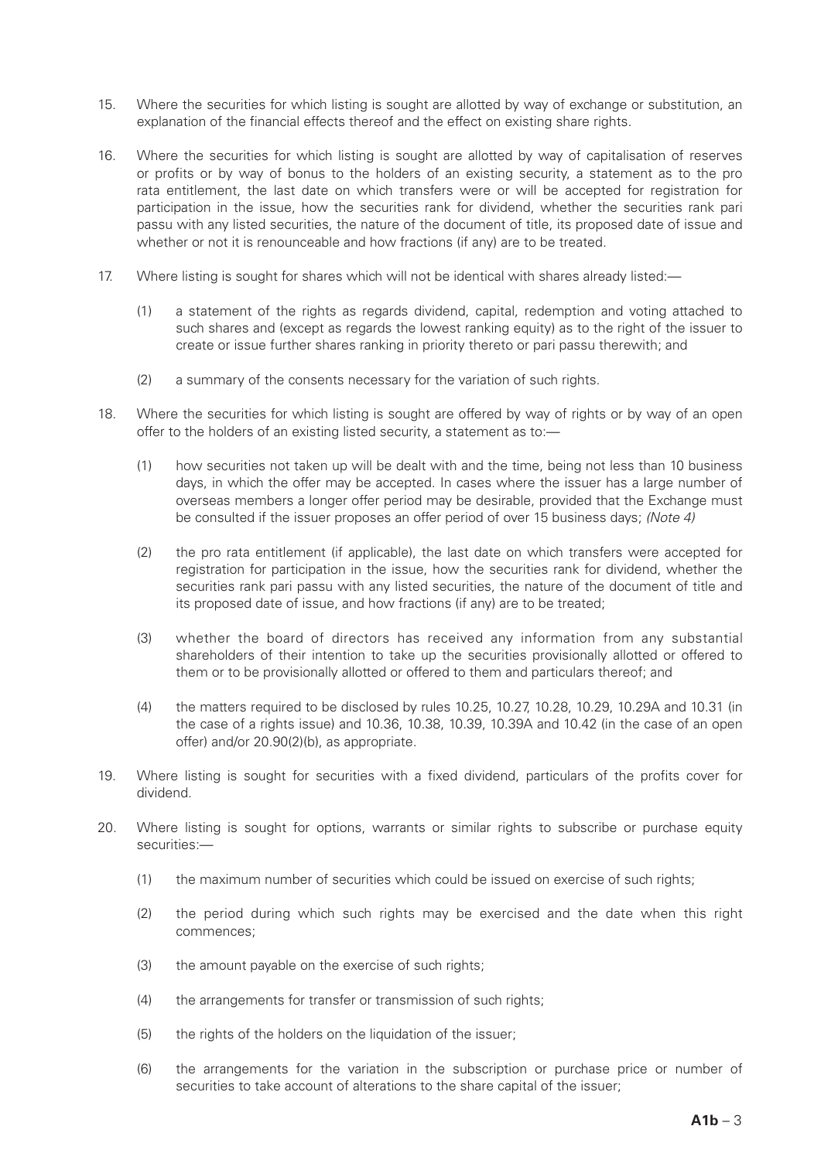- 15. Where the securities for which listing is sought are allotted by way of exchange or substitution, an explanation of the financial effects thereof and the effect on existing share rights.
- 16. Where the securities for which listing is sought are allotted by way of capitalisation of reserves or profits or by way of bonus to the holders of an existing security, a statement as to the pro rata entitlement, the last date on which transfers were or will be accepted for registration for participation in the issue, how the securities rank for dividend, whether the securities rank pari passu with any listed securities, the nature of the document of title, its proposed date of issue and whether or not it is renounceable and how fractions (if any) are to be treated.
- 17. Where listing is sought for shares which will not be identical with shares already listed:—
	- (1) a statement of the rights as regards dividend, capital, redemption and voting attached to such shares and (except as regards the lowest ranking equity) as to the right of the issuer to create or issue further shares ranking in priority thereto or pari passu therewith; and
	- (2) a summary of the consents necessary for the variation of such rights.
- 18. Where the securities for which listing is sought are offered by way of rights or by way of an open offer to the holders of an existing listed security, a statement as to:—
	- (1) how securities not taken up will be dealt with and the time, being not less than 10 business days, in which the offer may be accepted. In cases where the issuer has a large number of overseas members a longer offer period may be desirable, provided that the Exchange must be consulted if the issuer proposes an offer period of over 15 business days; *(Note 4)*
	- (2) the pro rata entitlement (if applicable), the last date on which transfers were accepted for registration for participation in the issue, how the securities rank for dividend, whether the securities rank pari passu with any listed securities, the nature of the document of title and its proposed date of issue, and how fractions (if any) are to be treated;
	- (3) whether the board of directors has received any information from any substantial shareholders of their intention to take up the securities provisionally allotted or offered to them or to be provisionally allotted or offered to them and particulars thereof; and
	- (4) the matters required to be disclosed by rules 10.25, 10.27, 10.28, 10.29, 10.29A and 10.31 (in the case of a rights issue) and 10.36, 10.38, 10.39, 10.39A and 10.42 (in the case of an open offer) and/or 20.90(2)(b), as appropriate.
- 19. Where listing is sought for securities with a fixed dividend, particulars of the profits cover for dividend.
- 20. Where listing is sought for options, warrants or similar rights to subscribe or purchase equity securities:—
	- (1) the maximum number of securities which could be issued on exercise of such rights;
	- (2) the period during which such rights may be exercised and the date when this right commences;
	- (3) the amount payable on the exercise of such rights;
	- (4) the arrangements for transfer or transmission of such rights;
	- (5) the rights of the holders on the liquidation of the issuer;
	- (6) the arrangements for the variation in the subscription or purchase price or number of securities to take account of alterations to the share capital of the issuer;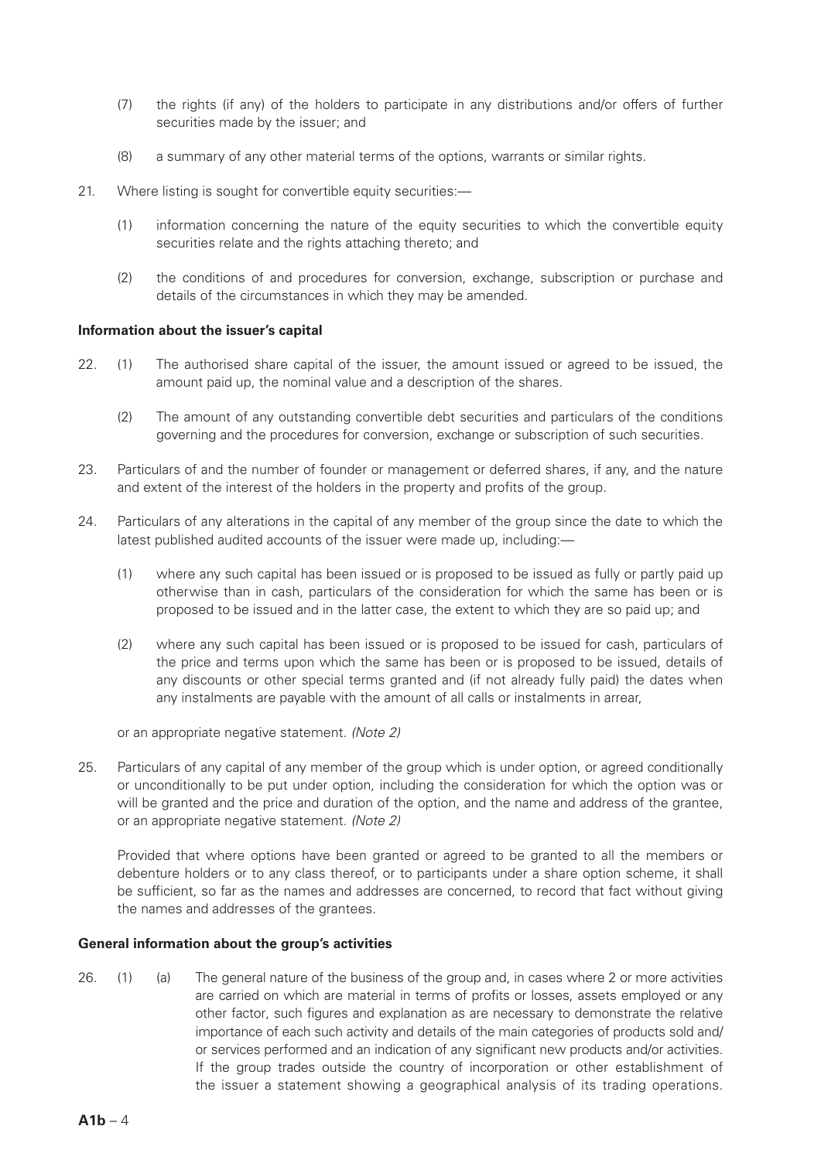- (7) the rights (if any) of the holders to participate in any distributions and/or offers of further securities made by the issuer; and
- (8) a summary of any other material terms of the options, warrants or similar rights.
- 21. Where listing is sought for convertible equity securities:-
	- (1) information concerning the nature of the equity securities to which the convertible equity securities relate and the rights attaching thereto; and
	- (2) the conditions of and procedures for conversion, exchange, subscription or purchase and details of the circumstances in which they may be amended.

#### **Information about the issuer's capital**

- 22. (1) The authorised share capital of the issuer, the amount issued or agreed to be issued, the amount paid up, the nominal value and a description of the shares.
	- (2) The amount of any outstanding convertible debt securities and particulars of the conditions governing and the procedures for conversion, exchange or subscription of such securities.
- 23. Particulars of and the number of founder or management or deferred shares, if any, and the nature and extent of the interest of the holders in the property and profits of the group.
- 24. Particulars of any alterations in the capital of any member of the group since the date to which the latest published audited accounts of the issuer were made up, including:—
	- (1) where any such capital has been issued or is proposed to be issued as fully or partly paid up otherwise than in cash, particulars of the consideration for which the same has been or is proposed to be issued and in the latter case, the extent to which they are so paid up; and
	- (2) where any such capital has been issued or is proposed to be issued for cash, particulars of the price and terms upon which the same has been or is proposed to be issued, details of any discounts or other special terms granted and (if not already fully paid) the dates when any instalments are payable with the amount of all calls or instalments in arrear,

or an appropriate negative statement. *(Note 2)*

25. Particulars of any capital of any member of the group which is under option, or agreed conditionally or unconditionally to be put under option, including the consideration for which the option was or will be granted and the price and duration of the option, and the name and address of the grantee, or an appropriate negative statement. *(Note 2)*

Provided that where options have been granted or agreed to be granted to all the members or debenture holders or to any class thereof, or to participants under a share option scheme, it shall be sufficient, so far as the names and addresses are concerned, to record that fact without giving the names and addresses of the grantees.

#### **General information about the group's activities**

26. (1) (a) The general nature of the business of the group and, in cases where 2 or more activities are carried on which are material in terms of profits or losses, assets employed or any other factor, such figures and explanation as are necessary to demonstrate the relative importance of each such activity and details of the main categories of products sold and/ or services performed and an indication of any significant new products and/or activities. If the group trades outside the country of incorporation or other establishment of the issuer a statement showing a geographical analysis of its trading operations.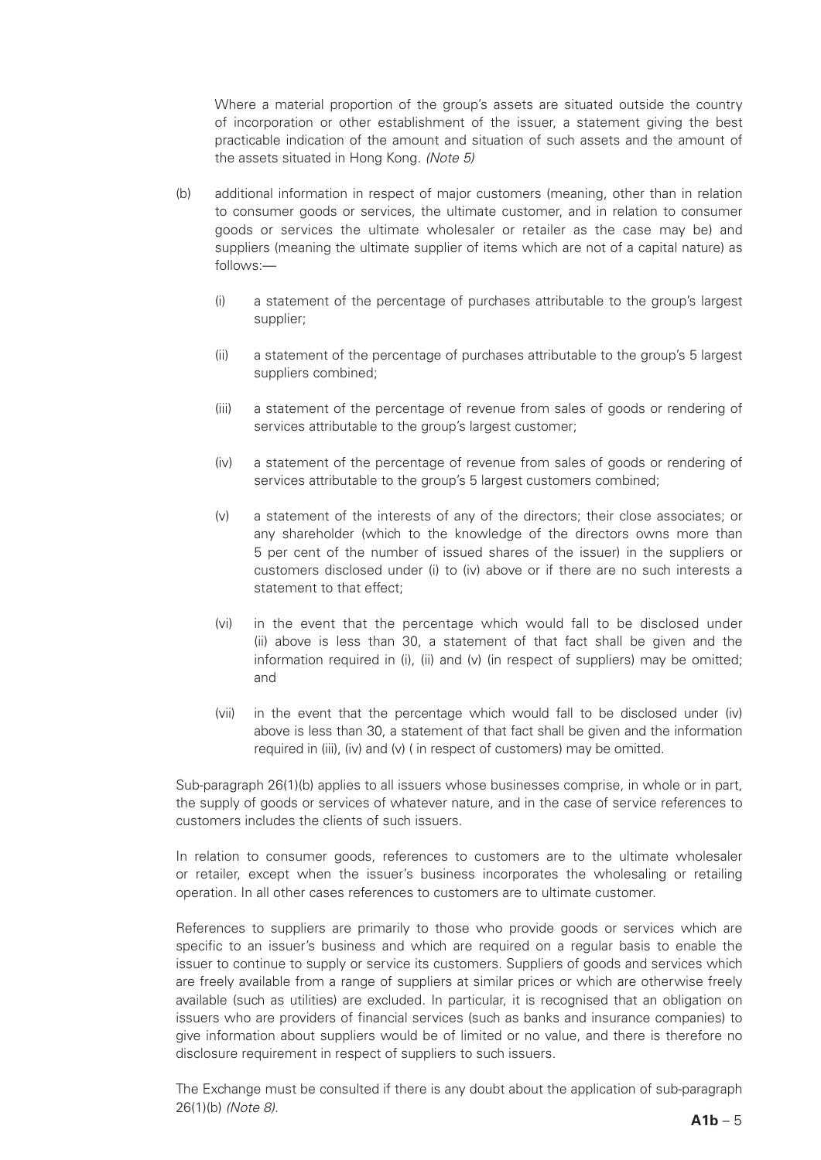Where a material proportion of the group's assets are situated outside the country of incorporation or other establishment of the issuer, a statement giving the best practicable indication of the amount and situation of such assets and the amount of the assets situated in Hong Kong. *(Note 5)*

- (b) additional information in respect of major customers (meaning, other than in relation to consumer goods or services, the ultimate customer, and in relation to consumer goods or services the ultimate wholesaler or retailer as the case may be) and suppliers (meaning the ultimate supplier of items which are not of a capital nature) as follows:—
	- (i) a statement of the percentage of purchases attributable to the group's largest supplier;
	- (ii) a statement of the percentage of purchases attributable to the group's 5 largest suppliers combined;
	- (iii) a statement of the percentage of revenue from sales of goods or rendering of services attributable to the group's largest customer;
	- (iv) a statement of the percentage of revenue from sales of goods or rendering of services attributable to the group's 5 largest customers combined;
	- (v) a statement of the interests of any of the directors; their close associates; or any shareholder (which to the knowledge of the directors owns more than 5 per cent of the number of issued shares of the issuer) in the suppliers or customers disclosed under (i) to (iv) above or if there are no such interests a statement to that effect;
	- (vi) in the event that the percentage which would fall to be disclosed under (ii) above is less than 30, a statement of that fact shall be given and the information required in (i), (ii) and (v) (in respect of suppliers) may be omitted; and
	- (vii) in the event that the percentage which would fall to be disclosed under (iv) above is less than 30, a statement of that fact shall be given and the information required in (iii), (iv) and (v) ( in respect of customers) may be omitted.

Sub-paragraph 26(1)(b) applies to all issuers whose businesses comprise, in whole or in part, the supply of goods or services of whatever nature, and in the case of service references to customers includes the clients of such issuers.

In relation to consumer goods, references to customers are to the ultimate wholesaler or retailer, except when the issuer's business incorporates the wholesaling or retailing operation. In all other cases references to customers are to ultimate customer.

References to suppliers are primarily to those who provide goods or services which are specific to an issuer's business and which are required on a regular basis to enable the issuer to continue to supply or service its customers. Suppliers of goods and services which are freely available from a range of suppliers at similar prices or which are otherwise freely available (such as utilities) are excluded. In particular, it is recognised that an obligation on issuers who are providers of financial services (such as banks and insurance companies) to give information about suppliers would be of limited or no value, and there is therefore no disclosure requirement in respect of suppliers to such issuers.

The Exchange must be consulted if there is any doubt about the application of sub-paragraph 26(1)(b) *(Note 8)*.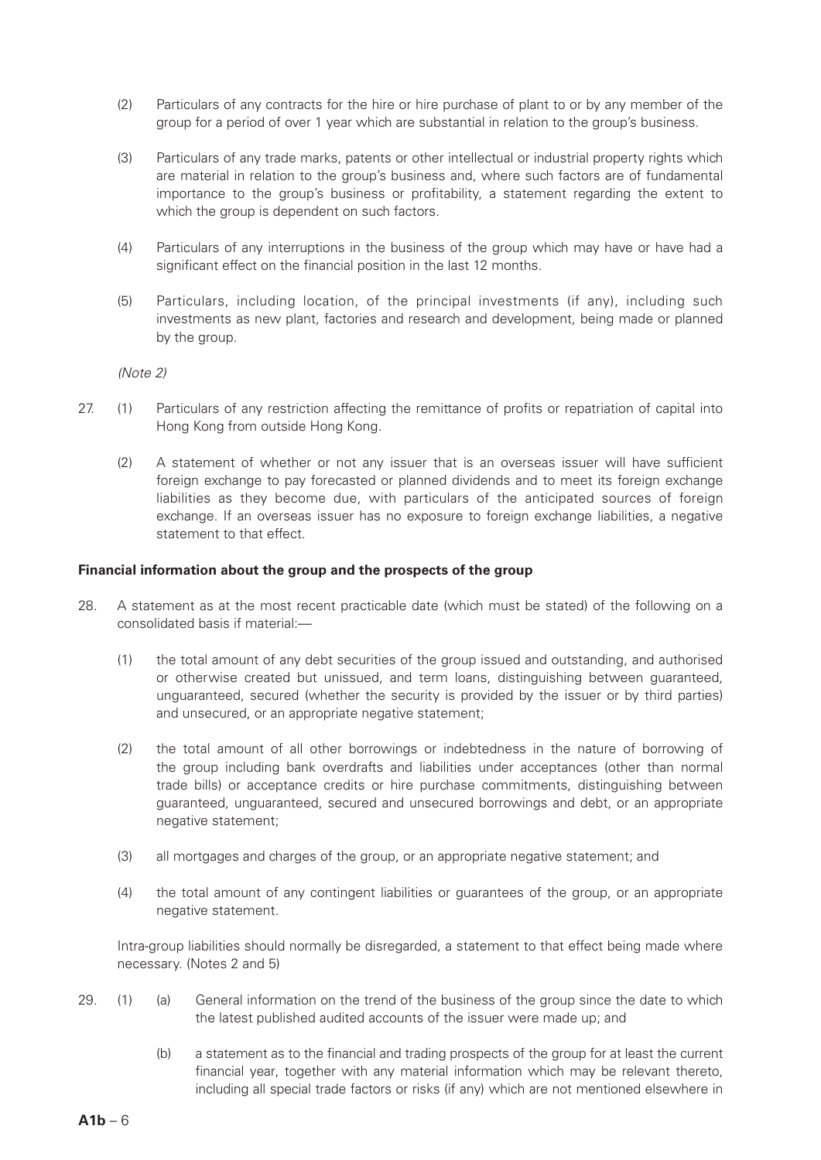- (2) Particulars of any contracts for the hire or hire purchase of plant to or by any member of the group for a period of over 1 year which are substantial in relation to the group's business.
- (3) Particulars of any trade marks, patents or other intellectual or industrial property rights which are material in relation to the group's business and, where such factors are of fundamental importance to the group's business or profitability, a statement regarding the extent to which the group is dependent on such factors.
- (4) Particulars of any interruptions in the business of the group which may have or have had a significant effect on the financial position in the last 12 months.
- (5) Particulars, including location, of the principal investments (if any), including such investments as new plant, factories and research and development, being made or planned by the group.

*(Note 2)*

- 27. (1) Particulars of any restriction affecting the remittance of profits or repatriation of capital into Hong Kong from outside Hong Kong.
	- (2) A statement of whether or not any issuer that is an overseas issuer will have sufficient foreign exchange to pay forecasted or planned dividends and to meet its foreign exchange liabilities as they become due, with particulars of the anticipated sources of foreign exchange. If an overseas issuer has no exposure to foreign exchange liabilities, a negative statement to that effect.

#### **Financial information about the group and the prospects of the group**

- 28. A statement as at the most recent practicable date (which must be stated) of the following on a consolidated basis if material:—
	- (1) the total amount of any debt securities of the group issued and outstanding, and authorised or otherwise created but unissued, and term loans, distinguishing between guaranteed, unguaranteed, secured (whether the security is provided by the issuer or by third parties) and unsecured, or an appropriate negative statement;
	- (2) the total amount of all other borrowings or indebtedness in the nature of borrowing of the group including bank overdrafts and liabilities under acceptances (other than normal trade bills) or acceptance credits or hire purchase commitments, distinguishing between guaranteed, unguaranteed, secured and unsecured borrowings and debt, or an appropriate negative statement;
	- (3) all mortgages and charges of the group, or an appropriate negative statement; and
	- (4) the total amount of any contingent liabilities or guarantees of the group, or an appropriate negative statement.

Intra-group liabilities should normally be disregarded, a statement to that effect being made where necessary. (Notes 2 and 5)

- 29. (1) (a) General information on the trend of the business of the group since the date to which the latest published audited accounts of the issuer were made up; and
	- (b) a statement as to the financial and trading prospects of the group for at least the current financial year, together with any material information which may be relevant thereto, including all special trade factors or risks (if any) which are not mentioned elsewhere in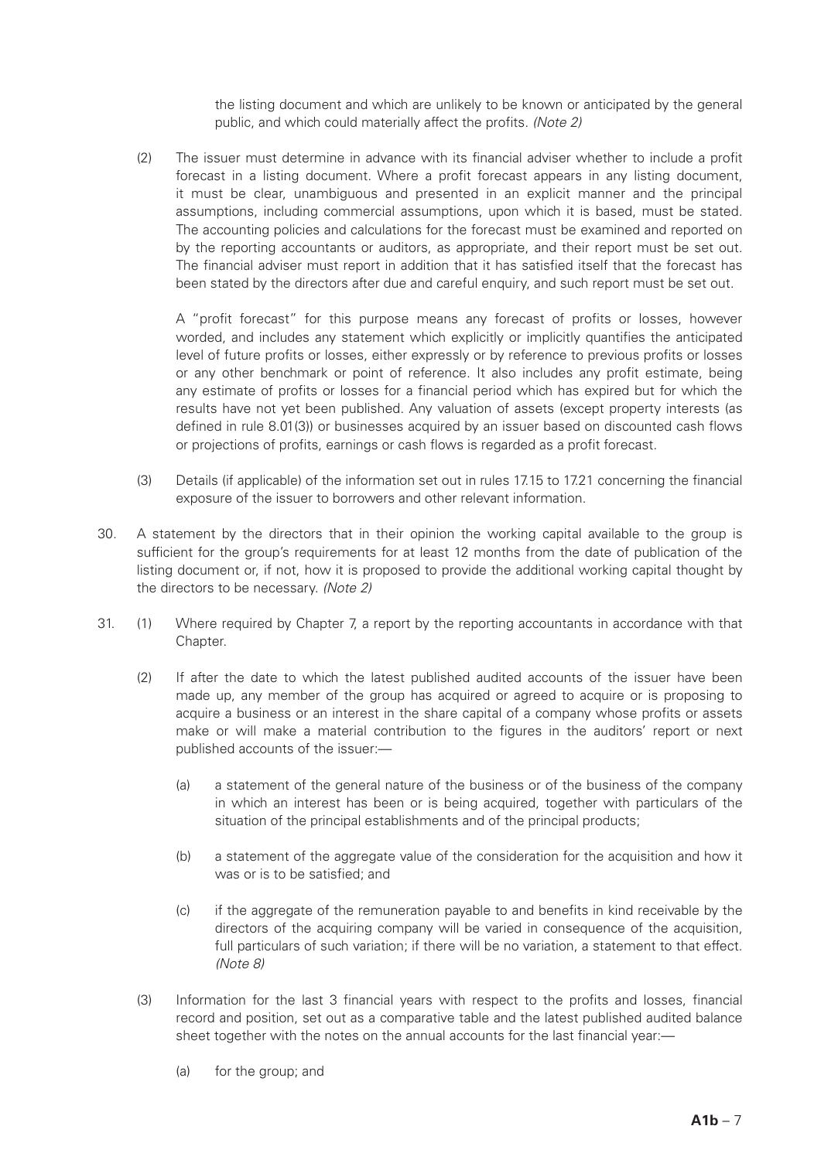the listing document and which are unlikely to be known or anticipated by the general public, and which could materially affect the profits. *(Note 2)*

(2) The issuer must determine in advance with its financial adviser whether to include a profit forecast in a listing document. Where a profit forecast appears in any listing document, it must be clear, unambiguous and presented in an explicit manner and the principal assumptions, including commercial assumptions, upon which it is based, must be stated. The accounting policies and calculations for the forecast must be examined and reported on by the reporting accountants or auditors, as appropriate, and their report must be set out. The financial adviser must report in addition that it has satisfied itself that the forecast has been stated by the directors after due and careful enquiry, and such report must be set out.

A "profit forecast" for this purpose means any forecast of profits or losses, however worded, and includes any statement which explicitly or implicitly quantifies the anticipated level of future profits or losses, either expressly or by reference to previous profits or losses or any other benchmark or point of reference. It also includes any profit estimate, being any estimate of profits or losses for a financial period which has expired but for which the results have not yet been published. Any valuation of assets (except property interests (as defined in rule 8.01(3)) or businesses acquired by an issuer based on discounted cash flows or projections of profits, earnings or cash flows is regarded as a profit forecast.

- (3) Details (if applicable) of the information set out in rules 17.15 to 17.21 concerning the financial exposure of the issuer to borrowers and other relevant information.
- 30. A statement by the directors that in their opinion the working capital available to the group is sufficient for the group's requirements for at least 12 months from the date of publication of the listing document or, if not, how it is proposed to provide the additional working capital thought by the directors to be necessary. *(Note 2)*
- 31. (1) Where required by Chapter 7, a report by the reporting accountants in accordance with that Chapter.
	- (2) If after the date to which the latest published audited accounts of the issuer have been made up, any member of the group has acquired or agreed to acquire or is proposing to acquire a business or an interest in the share capital of a company whose profits or assets make or will make a material contribution to the figures in the auditors' report or next published accounts of the issuer:—
		- (a) a statement of the general nature of the business or of the business of the company in which an interest has been or is being acquired, together with particulars of the situation of the principal establishments and of the principal products;
		- (b) a statement of the aggregate value of the consideration for the acquisition and how it was or is to be satisfied; and
		- (c) if the aggregate of the remuneration payable to and benefits in kind receivable by the directors of the acquiring company will be varied in consequence of the acquisition, full particulars of such variation; if there will be no variation, a statement to that effect. *(Note 8)*
	- (3) Information for the last 3 financial years with respect to the profits and losses, financial record and position, set out as a comparative table and the latest published audited balance sheet together with the notes on the annual accounts for the last financial year:—
		- (a) for the group; and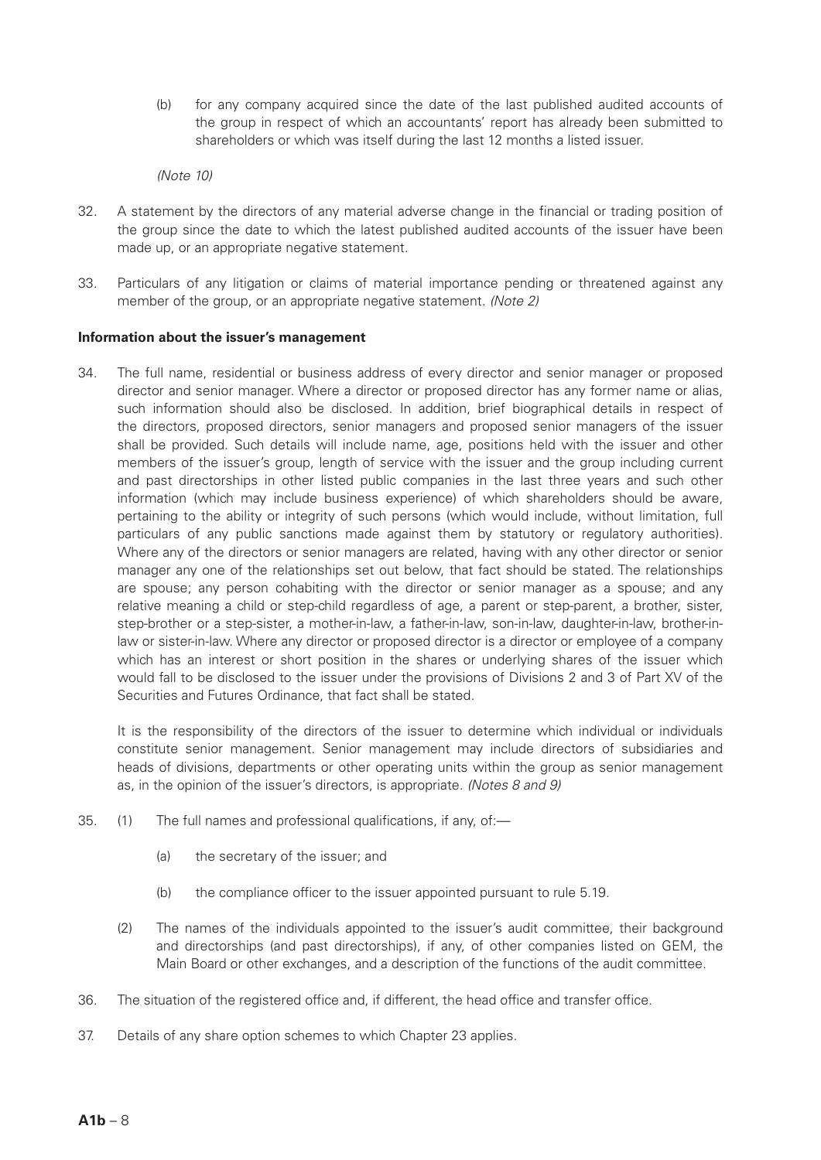(b) for any company acquired since the date of the last published audited accounts of the group in respect of which an accountants' report has already been submitted to shareholders or which was itself during the last 12 months a listed issuer.

*(Note 10)*

- 32. A statement by the directors of any material adverse change in the financial or trading position of the group since the date to which the latest published audited accounts of the issuer have been made up, or an appropriate negative statement.
- 33. Particulars of any litigation or claims of material importance pending or threatened against any member of the group, or an appropriate negative statement. *(Note 2)*

#### **Information about the issuer's management**

34. The full name, residential or business address of every director and senior manager or proposed director and senior manager. Where a director or proposed director has any former name or alias, such information should also be disclosed. In addition, brief biographical details in respect of the directors, proposed directors, senior managers and proposed senior managers of the issuer shall be provided. Such details will include name, age, positions held with the issuer and other members of the issuer's group, length of service with the issuer and the group including current and past directorships in other listed public companies in the last three years and such other information (which may include business experience) of which shareholders should be aware, pertaining to the ability or integrity of such persons (which would include, without limitation, full particulars of any public sanctions made against them by statutory or regulatory authorities). Where any of the directors or senior managers are related, having with any other director or senior manager any one of the relationships set out below, that fact should be stated. The relationships are spouse; any person cohabiting with the director or senior manager as a spouse; and any relative meaning a child or step-child regardless of age, a parent or step-parent, a brother, sister, step-brother or a step-sister, a mother-in-law, a father-in-law, son-in-law, daughter-in-law, brother-inlaw or sister-in-law. Where any director or proposed director is a director or employee of a company which has an interest or short position in the shares or underlying shares of the issuer which would fall to be disclosed to the issuer under the provisions of Divisions 2 and 3 of Part XV of the Securities and Futures Ordinance, that fact shall be stated.

It is the responsibility of the directors of the issuer to determine which individual or individuals constitute senior management. Senior management may include directors of subsidiaries and heads of divisions, departments or other operating units within the group as senior management as, in the opinion of the issuer's directors, is appropriate. *(Notes 8 and 9)*

- 35. (1) The full names and professional qualifications, if any, of:—
	- (a) the secretary of the issuer; and
	- (b) the compliance officer to the issuer appointed pursuant to rule 5.19.
	- (2) The names of the individuals appointed to the issuer's audit committee, their background and directorships (and past directorships), if any, of other companies listed on GEM, the Main Board or other exchanges, and a description of the functions of the audit committee.
- 36. The situation of the registered office and, if different, the head office and transfer office.
- 37. Details of any share option schemes to which Chapter 23 applies.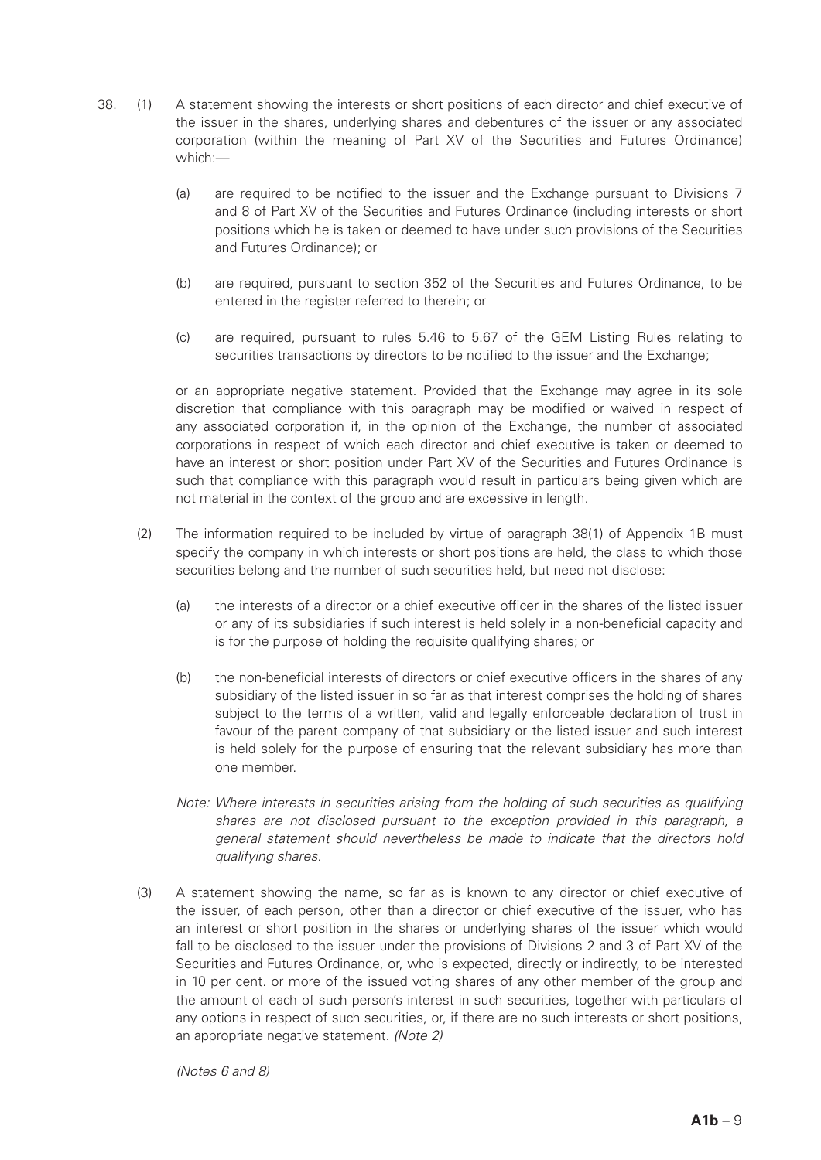- 38. (1) A statement showing the interests or short positions of each director and chief executive of the issuer in the shares, underlying shares and debentures of the issuer or any associated corporation (within the meaning of Part XV of the Securities and Futures Ordinance) which:—
	- (a) are required to be notified to the issuer and the Exchange pursuant to Divisions 7 and 8 of Part XV of the Securities and Futures Ordinance (including interests or short positions which he is taken or deemed to have under such provisions of the Securities and Futures Ordinance); or
	- (b) are required, pursuant to section 352 of the Securities and Futures Ordinance, to be entered in the register referred to therein; or
	- (c) are required, pursuant to rules 5.46 to 5.67 of the GEM Listing Rules relating to securities transactions by directors to be notified to the issuer and the Exchange;

or an appropriate negative statement. Provided that the Exchange may agree in its sole discretion that compliance with this paragraph may be modified or waived in respect of any associated corporation if, in the opinion of the Exchange, the number of associated corporations in respect of which each director and chief executive is taken or deemed to have an interest or short position under Part XV of the Securities and Futures Ordinance is such that compliance with this paragraph would result in particulars being given which are not material in the context of the group and are excessive in length.

- (2) The information required to be included by virtue of paragraph 38(1) of Appendix 1B must specify the company in which interests or short positions are held, the class to which those securities belong and the number of such securities held, but need not disclose:
	- (a) the interests of a director or a chief executive officer in the shares of the listed issuer or any of its subsidiaries if such interest is held solely in a non-beneficial capacity and is for the purpose of holding the requisite qualifying shares; or
	- (b) the non-beneficial interests of directors or chief executive officers in the shares of any subsidiary of the listed issuer in so far as that interest comprises the holding of shares subject to the terms of a written, valid and legally enforceable declaration of trust in favour of the parent company of that subsidiary or the listed issuer and such interest is held solely for the purpose of ensuring that the relevant subsidiary has more than one member.
	- *Note: Where interests in securities arising from the holding of such securities as qualifying shares are not disclosed pursuant to the exception provided in this paragraph, a general statement should nevertheless be made to indicate that the directors hold qualifying shares.*
- (3) A statement showing the name, so far as is known to any director or chief executive of the issuer, of each person, other than a director or chief executive of the issuer, who has an interest or short position in the shares or underlying shares of the issuer which would fall to be disclosed to the issuer under the provisions of Divisions 2 and 3 of Part XV of the Securities and Futures Ordinance, or, who is expected, directly or indirectly, to be interested in 10 per cent. or more of the issued voting shares of any other member of the group and the amount of each of such person's interest in such securities, together with particulars of any options in respect of such securities, or, if there are no such interests or short positions, an appropriate negative statement. *(Note 2)*

*(Notes 6 and 8)*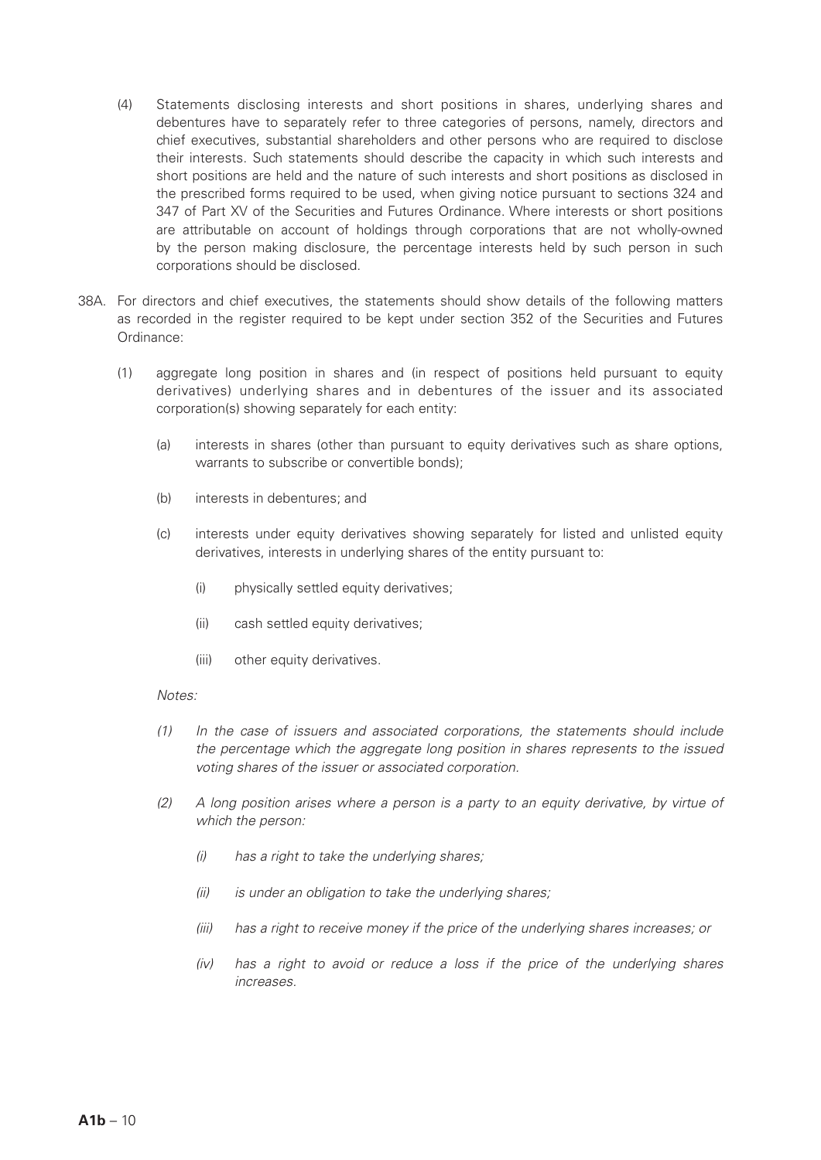- (4) Statements disclosing interests and short positions in shares, underlying shares and debentures have to separately refer to three categories of persons, namely, directors and chief executives, substantial shareholders and other persons who are required to disclose their interests. Such statements should describe the capacity in which such interests and short positions are held and the nature of such interests and short positions as disclosed in the prescribed forms required to be used, when giving notice pursuant to sections 324 and 347 of Part XV of the Securities and Futures Ordinance. Where interests or short positions are attributable on account of holdings through corporations that are not wholly-owned by the person making disclosure, the percentage interests held by such person in such corporations should be disclosed.
- 38A. For directors and chief executives, the statements should show details of the following matters as recorded in the register required to be kept under section 352 of the Securities and Futures Ordinance:
	- (1) aggregate long position in shares and (in respect of positions held pursuant to equity derivatives) underlying shares and in debentures of the issuer and its associated corporation(s) showing separately for each entity:
		- (a) interests in shares (other than pursuant to equity derivatives such as share options, warrants to subscribe or convertible bonds);
		- (b) interests in debentures; and
		- (c) interests under equity derivatives showing separately for listed and unlisted equity derivatives, interests in underlying shares of the entity pursuant to:
			- (i) physically settled equity derivatives;
			- (ii) cash settled equity derivatives;
			- (iii) other equity derivatives.

- *(1) In the case of issuers and associated corporations, the statements should include the percentage which the aggregate long position in shares represents to the issued voting shares of the issuer or associated corporation.*
- *(2) A long position arises where a person is a party to an equity derivative, by virtue of which the person:*
	- *(i) has a right to take the underlying shares;*
	- *(ii) is under an obligation to take the underlying shares;*
	- *(iii) has a right to receive money if the price of the underlying shares increases; or*
	- *(iv) has a right to avoid or reduce a loss if the price of the underlying shares increases.*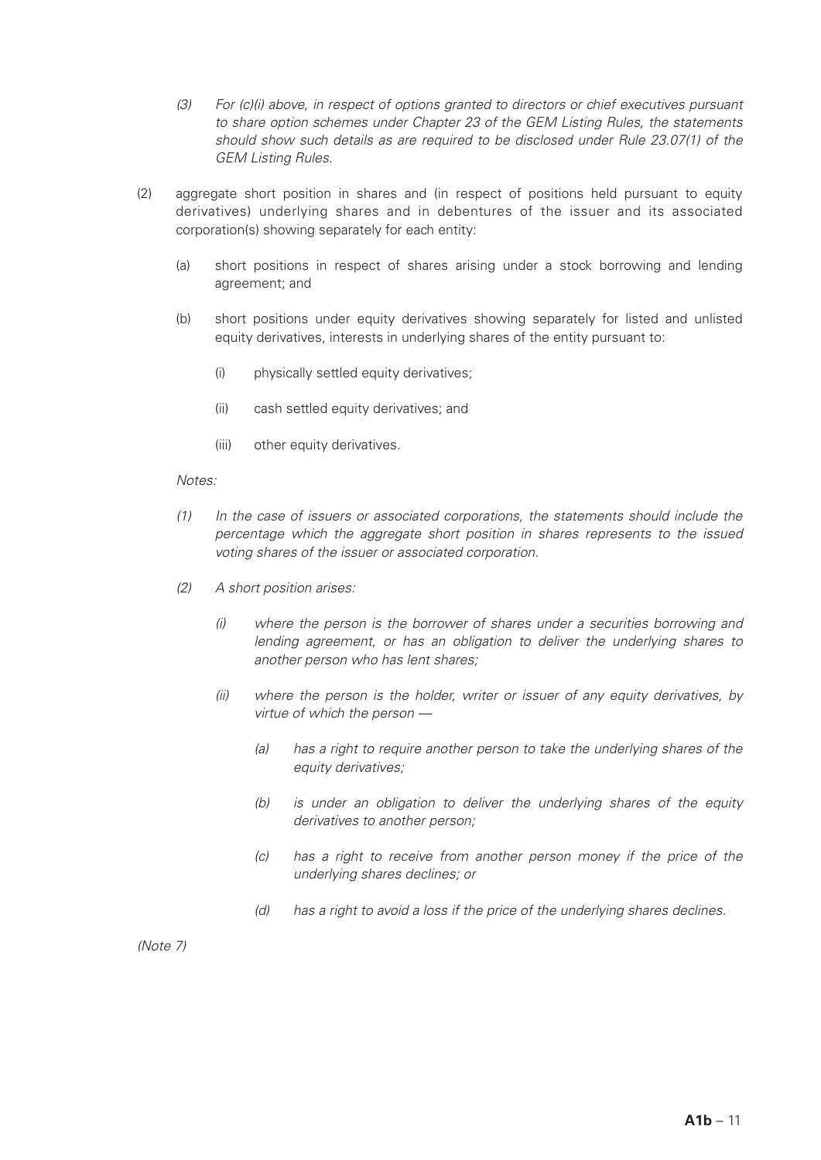- *(3) For (c)(i) above, in respect of options granted to directors or chief executives pursuant to share option schemes under Chapter 23 of the GEM Listing Rules, the statements should show such details as are required to be disclosed under Rule 23.07(1) of the GEM Listing Rules.*
- (2) aggregate short position in shares and (in respect of positions held pursuant to equity derivatives) underlying shares and in debentures of the issuer and its associated corporation(s) showing separately for each entity:
	- (a) short positions in respect of shares arising under a stock borrowing and lending agreement; and
	- (b) short positions under equity derivatives showing separately for listed and unlisted equity derivatives, interests in underlying shares of the entity pursuant to:
		- (i) physically settled equity derivatives;
		- (ii) cash settled equity derivatives; and
		- (iii) other equity derivatives.

- *(1) In the case of issuers or associated corporations, the statements should include the percentage which the aggregate short position in shares represents to the issued voting shares of the issuer or associated corporation.*
- *(2) A short position arises:*
	- *(i) where the person is the borrower of shares under a securities borrowing and lending agreement, or has an obligation to deliver the underlying shares to another person who has lent shares;*
	- *(ii) where the person is the holder, writer or issuer of any equity derivatives, by virtue of which the person —*
		- *(a) has a right to require another person to take the underlying shares of the equity derivatives;*
		- *(b) is under an obligation to deliver the underlying shares of the equity derivatives to another person;*
		- *(c) has a right to receive from another person money if the price of the underlying shares declines; or*
		- *(d) has a right to avoid a loss if the price of the underlying shares declines.*

*(Note 7)*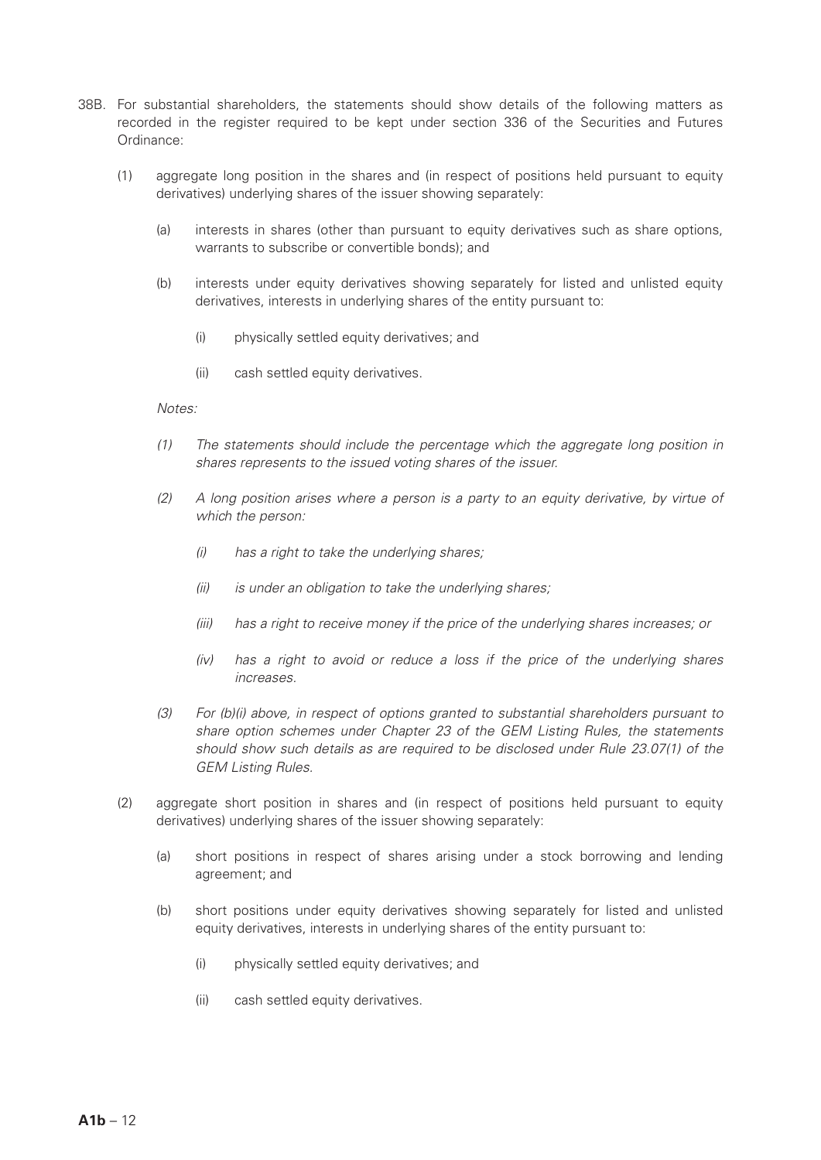- 38B. For substantial shareholders, the statements should show details of the following matters as recorded in the register required to be kept under section 336 of the Securities and Futures Ordinance:
	- (1) aggregate long position in the shares and (in respect of positions held pursuant to equity derivatives) underlying shares of the issuer showing separately:
		- (a) interests in shares (other than pursuant to equity derivatives such as share options, warrants to subscribe or convertible bonds); and
		- (b) interests under equity derivatives showing separately for listed and unlisted equity derivatives, interests in underlying shares of the entity pursuant to:
			- (i) physically settled equity derivatives; and
			- (ii) cash settled equity derivatives.

- *(1) The statements should include the percentage which the aggregate long position in shares represents to the issued voting shares of the issuer.*
- *(2) A long position arises where a person is a party to an equity derivative, by virtue of which the person:*
	- *(i) has a right to take the underlying shares;*
	- *(ii) is under an obligation to take the underlying shares;*
	- *(iii) has a right to receive money if the price of the underlying shares increases; or*
	- *(iv) has a right to avoid or reduce a loss if the price of the underlying shares increases.*
- *(3) For (b)(i) above, in respect of options granted to substantial shareholders pursuant to share option schemes under Chapter 23 of the GEM Listing Rules, the statements should show such details as are required to be disclosed under Rule 23.07(1) of the GEM Listing Rules.*
- (2) aggregate short position in shares and (in respect of positions held pursuant to equity derivatives) underlying shares of the issuer showing separately:
	- (a) short positions in respect of shares arising under a stock borrowing and lending agreement; and
	- (b) short positions under equity derivatives showing separately for listed and unlisted equity derivatives, interests in underlying shares of the entity pursuant to:
		- (i) physically settled equity derivatives; and
		- (ii) cash settled equity derivatives.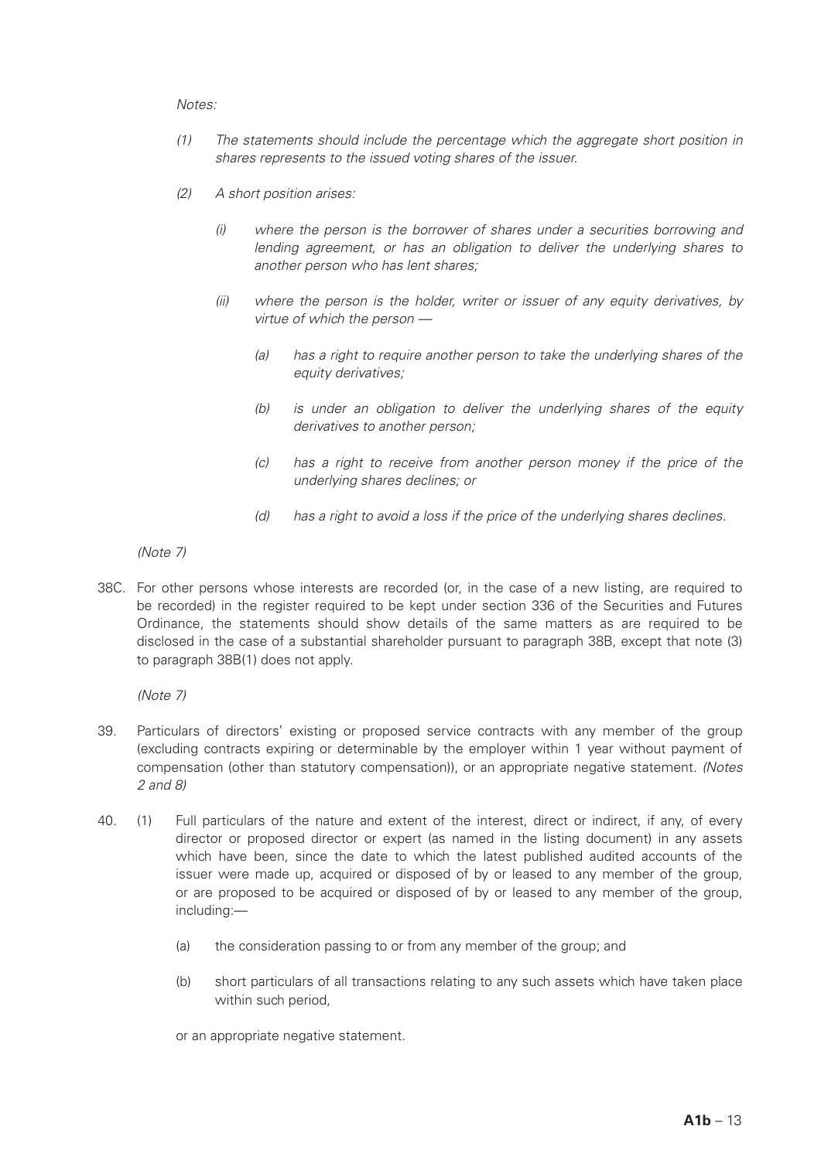- *(1) The statements should include the percentage which the aggregate short position in shares represents to the issued voting shares of the issuer.*
- *(2) A short position arises:*
	- *(i) where the person is the borrower of shares under a securities borrowing and lending agreement, or has an obligation to deliver the underlying shares to another person who has lent shares;*
	- *(ii) where the person is the holder, writer or issuer of any equity derivatives, by virtue of which the person —*
		- *(a) has a right to require another person to take the underlying shares of the equity derivatives;*
		- *(b) is under an obligation to deliver the underlying shares of the equity derivatives to another person;*
		- *(c) has a right to receive from another person money if the price of the underlying shares declines; or*
		- *(d) has a right to avoid a loss if the price of the underlying shares declines.*

## *(Note 7)*

38C. For other persons whose interests are recorded (or, in the case of a new listing, are required to be recorded) in the register required to be kept under section 336 of the Securities and Futures Ordinance, the statements should show details of the same matters as are required to be disclosed in the case of a substantial shareholder pursuant to paragraph 38B, except that note (3) to paragraph 38B(1) does not apply.

*(Note 7)*

- 39. Particulars of directors' existing or proposed service contracts with any member of the group (excluding contracts expiring or determinable by the employer within 1 year without payment of compensation (other than statutory compensation)), or an appropriate negative statement. *(Notes 2 and 8)*
- 40. (1) Full particulars of the nature and extent of the interest, direct or indirect, if any, of every director or proposed director or expert (as named in the listing document) in any assets which have been, since the date to which the latest published audited accounts of the issuer were made up, acquired or disposed of by or leased to any member of the group, or are proposed to be acquired or disposed of by or leased to any member of the group, including:—
	- (a) the consideration passing to or from any member of the group; and
	- (b) short particulars of all transactions relating to any such assets which have taken place within such period,

or an appropriate negative statement.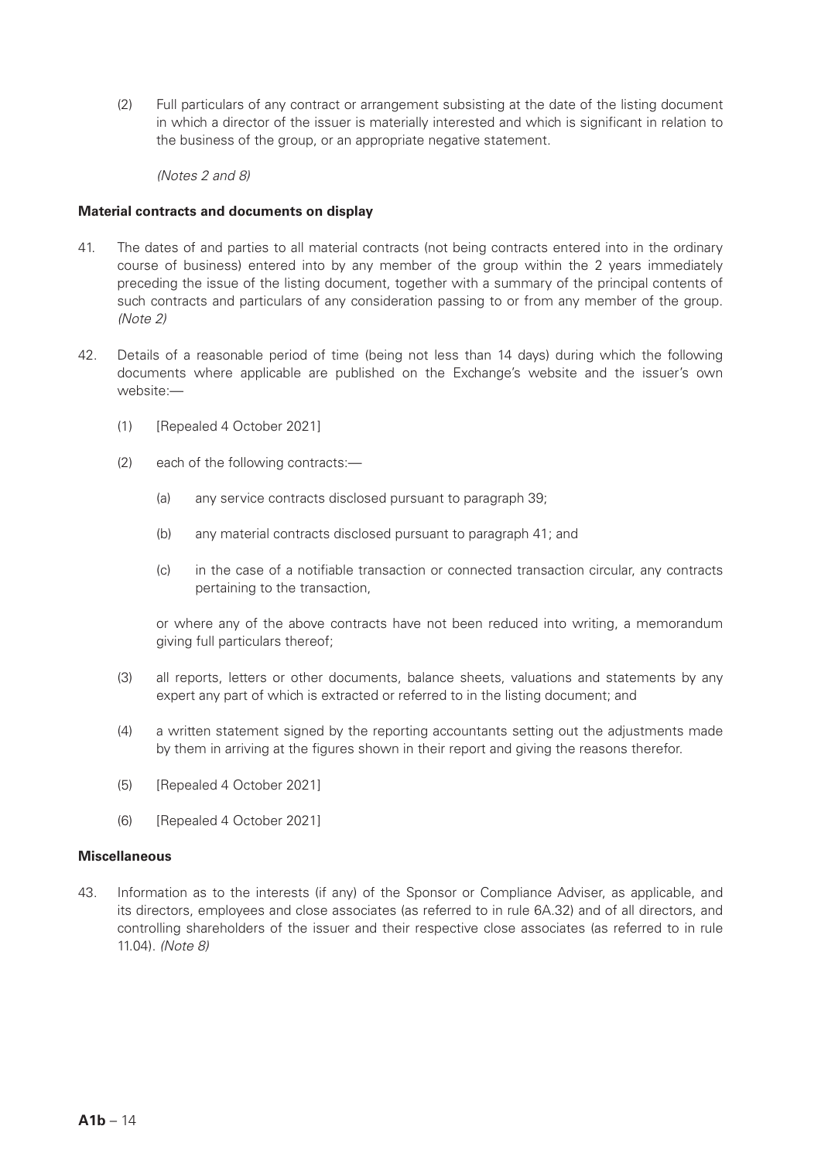(2) Full particulars of any contract or arrangement subsisting at the date of the listing document in which a director of the issuer is materially interested and which is significant in relation to the business of the group, or an appropriate negative statement.

*(Notes 2 and 8)*

## **Material contracts and documents on display**

- 41. The dates of and parties to all material contracts (not being contracts entered into in the ordinary course of business) entered into by any member of the group within the 2 years immediately preceding the issue of the listing document, together with a summary of the principal contents of such contracts and particulars of any consideration passing to or from any member of the group. *(Note 2)*
- 42. Details of a reasonable period of time (being not less than 14 days) during which the following documents where applicable are published on the Exchange's website and the issuer's own website:—
	- (1) [Repealed 4 October 2021]
	- (2) each of the following contracts:—
		- (a) any service contracts disclosed pursuant to paragraph 39;
		- (b) any material contracts disclosed pursuant to paragraph 41; and
		- (c) in the case of a notifiable transaction or connected transaction circular, any contracts pertaining to the transaction,

or where any of the above contracts have not been reduced into writing, a memorandum giving full particulars thereof;

- (3) all reports, letters or other documents, balance sheets, valuations and statements by any expert any part of which is extracted or referred to in the listing document; and
- (4) a written statement signed by the reporting accountants setting out the adjustments made by them in arriving at the figures shown in their report and giving the reasons therefor.
- (5) [Repealed 4 October 2021]
- (6) [Repealed 4 October 2021]

## **Miscellaneous**

43. Information as to the interests (if any) of the Sponsor or Compliance Adviser, as applicable, and its directors, employees and close associates (as referred to in rule 6A.32) and of all directors, and controlling shareholders of the issuer and their respective close associates (as referred to in rule 11.04). *(Note 8)*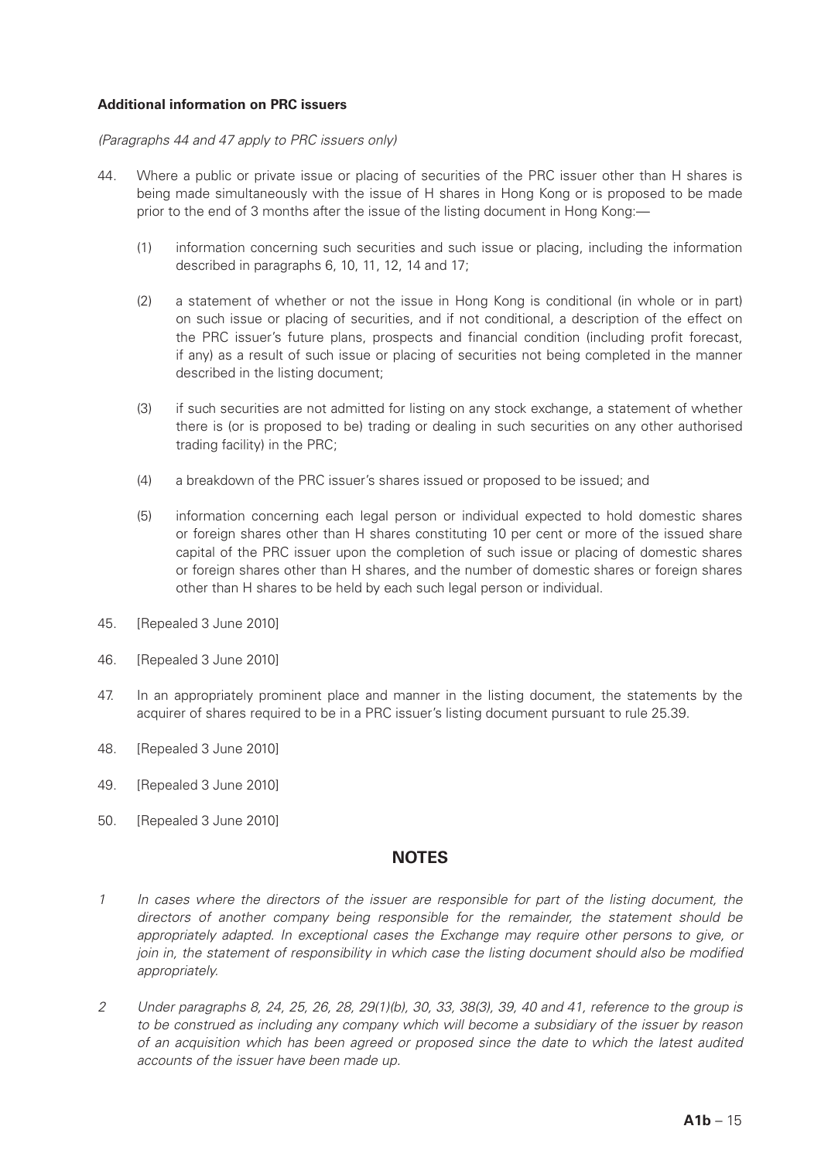## **Additional information on PRC issuers**

### *(Paragraphs 44 and 47 apply to PRC issuers only)*

- 44. Where a public or private issue or placing of securities of the PRC issuer other than H shares is being made simultaneously with the issue of H shares in Hong Kong or is proposed to be made prior to the end of 3 months after the issue of the listing document in Hong Kong:—
	- (1) information concerning such securities and such issue or placing, including the information described in paragraphs 6, 10, 11, 12, 14 and 17;
	- (2) a statement of whether or not the issue in Hong Kong is conditional (in whole or in part) on such issue or placing of securities, and if not conditional, a description of the effect on the PRC issuer's future plans, prospects and financial condition (including profit forecast, if any) as a result of such issue or placing of securities not being completed in the manner described in the listing document;
	- (3) if such securities are not admitted for listing on any stock exchange, a statement of whether there is (or is proposed to be) trading or dealing in such securities on any other authorised trading facility) in the PRC;
	- (4) a breakdown of the PRC issuer's shares issued or proposed to be issued; and
	- (5) information concerning each legal person or individual expected to hold domestic shares or foreign shares other than H shares constituting 10 per cent or more of the issued share capital of the PRC issuer upon the completion of such issue or placing of domestic shares or foreign shares other than H shares, and the number of domestic shares or foreign shares other than H shares to be held by each such legal person or individual.
- 45. [Repealed 3 June 2010]
- 46. [Repealed 3 June 2010]
- 47. In an appropriately prominent place and manner in the listing document, the statements by the acquirer of shares required to be in a PRC issuer's listing document pursuant to rule 25.39.
- 48. [Repealed 3 June 2010]
- 49. [Repealed 3 June 2010]
- 50. [Repealed 3 June 2010]

## **NOTES**

- *1 In cases where the directors of the issuer are responsible for part of the listing document, the directors of another company being responsible for the remainder, the statement should be appropriately adapted. In exceptional cases the Exchange may require other persons to give, or join in, the statement of responsibility in which case the listing document should also be modified appropriately.*
- *2 Under paragraphs 8, 24, 25, 26, 28, 29(1)(b), 30, 33, 38(3), 39, 40 and 41, reference to the group is to be construed as including any company which will become a subsidiary of the issuer by reason of an acquisition which has been agreed or proposed since the date to which the latest audited accounts of the issuer have been made up.*